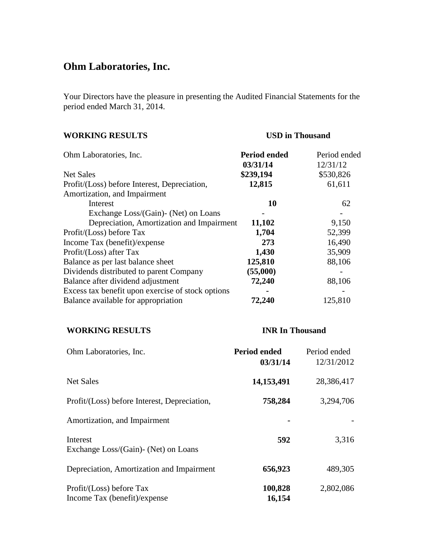# **Ohm Laboratories, Inc.**

Your Directors have the pleasure in presenting the Audited Financial Statements for the period ended March 31, 2014.

| <b>WORKING RESULTS</b>                            | <b>USD</b> in Thousand |              |
|---------------------------------------------------|------------------------|--------------|
| Ohm Laboratories, Inc.                            | <b>Period ended</b>    | Period ended |
|                                                   | 03/31/14               | 12/31/12     |
| Net Sales                                         | \$239,194              | \$530,826    |
| Profit/(Loss) before Interest, Depreciation,      | 12,815                 | 61,611       |
| Amortization, and Impairment                      |                        |              |
| Interest                                          | 10                     | 62           |
| Exchange Loss/(Gain)- (Net) on Loans              |                        |              |
| Depreciation, Amortization and Impairment         | 11,102                 | 9,150        |
| Profit/(Loss) before Tax                          | 1,704                  | 52,399       |
| Income Tax (benefit)/expense                      | 273                    | 16,490       |
| Profit/(Loss) after Tax                           | 1,430                  | 35,909       |
| Balance as per last balance sheet                 | 125,810                | 88,106       |
| Dividends distributed to parent Company           | (55,000)               |              |
| Balance after dividend adjustment                 | 72,240                 | 88,106       |
| Excess tax benefit upon exercise of stock options |                        |              |
| Balance available for appropriation               | 72,240                 | 125,810      |

## **WORKING RESULTS INR In Thousand**

| Ohm Laboratories, Inc.                                   | <b>Period ended</b><br>03/31/14 | Period ended<br>12/31/2012 |
|----------------------------------------------------------|---------------------------------|----------------------------|
| <b>Net Sales</b>                                         | 14,153,491                      | 28,386,417                 |
| Profit/(Loss) before Interest, Depreciation,             | 758,284                         | 3,294,706                  |
| Amortization, and Impairment                             |                                 |                            |
| Interest<br>Exchange Loss/(Gain) - (Net) on Loans        | 592                             | 3,316                      |
| Depreciation, Amortization and Impairment                | 656,923                         | 489,305                    |
| Profit/(Loss) before Tax<br>Income Tax (benefit)/expense | 100,828<br>16,154               | 2,802,086                  |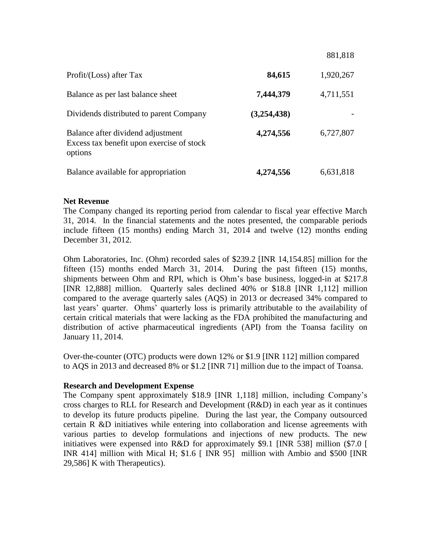|                                                                                           |             | 881,818   |
|-------------------------------------------------------------------------------------------|-------------|-----------|
| Profit/(Loss) after Tax                                                                   | 84,615      | 1,920,267 |
| Balance as per last balance sheet                                                         | 7,444,379   | 4,711,551 |
| Dividends distributed to parent Company                                                   | (3,254,438) |           |
| Balance after dividend adjustment<br>Excess tax benefit upon exercise of stock<br>options | 4,274,556   | 6,727,807 |
| Balance available for appropriation                                                       | 4,274,556   | 6,631,818 |

## **Net Revenue**

The Company changed its reporting period from calendar to fiscal year effective March 31, 2014. In the financial statements and the notes presented, the comparable periods include fifteen (15 months) ending March 31, 2014 and twelve (12) months ending December 31, 2012.

Ohm Laboratories, Inc. (Ohm) recorded sales of \$239.2 [INR 14,154.85] million for the fifteen (15) months ended March 31, 2014. During the past fifteen (15) months, shipments between Ohm and RPI, which is Ohm's base business, logged-in at \$217.8 [INR 12,888] million. Quarterly sales declined 40% or \$18.8 [INR 1,112] million compared to the average quarterly sales (AQS) in 2013 or decreased 34% compared to last years' quarter. Ohms' quarterly loss is primarily attributable to the availability of certain critical materials that were lacking as the FDA prohibited the manufacturing and distribution of active pharmaceutical ingredients (API) from the Toansa facility on January 11, 2014.

Over-the-counter (OTC) products were down 12% or \$1.9 [INR 112] million compared to AQS in 2013 and decreased 8% or \$1.2 [INR 71] million due to the impact of Toansa.

## **Research and Development Expense**

The Company spent approximately \$18.9 [INR 1,118] million, including Company's cross charges to RLL for Research and Development (R&D) in each year as it continues to develop its future products pipeline. During the last year, the Company outsourced certain R &D initiatives while entering into collaboration and license agreements with various parties to develop formulations and injections of new products. The new initiatives were expensed into R&D for approximately \$9.1 [INR 538] million (\$7.0 [ INR 414] million with Mical H; \$1.6 [ INR 95] million with Ambio and \$500 [INR 29,586] K with Therapeutics).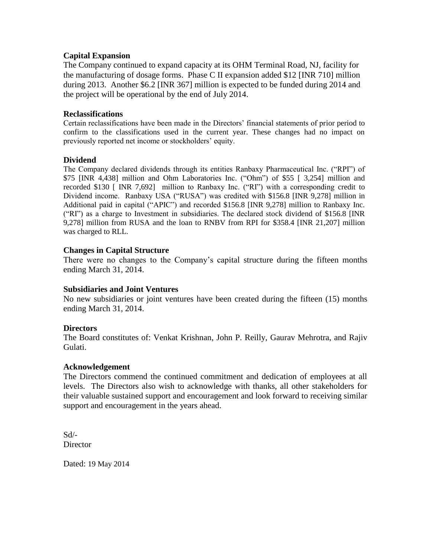## **Capital Expansion**

The Company continued to expand capacity at its OHM Terminal Road, NJ, facility for the manufacturing of dosage forms. Phase C II expansion added \$12 [INR 710] million during 2013. Another \$6.2 [INR 367] million is expected to be funded during 2014 and the project will be operational by the end of July 2014.

### **Reclassifications**

Certain reclassifications have been made in the Directors' financial statements of prior period to confirm to the classifications used in the current year. These changes had no impact on previously reported net income or stockholders' equity.

## **Dividend**

The Company declared dividends through its entities Ranbaxy Pharmaceutical Inc. ("RPI") of \$75 [INR 4,438] million and Ohm Laboratories Inc. ("Ohm") of \$55 [ 3,254] million and recorded \$130 [ INR 7,692] million to Ranbaxy Inc. ("RI") with a corresponding credit to Dividend income. Ranbaxy USA ("RUSA") was credited with \$156.8 [INR 9,278] million in Additional paid in capital ("APIC") and recorded \$156.8 [INR 9,278] million to Ranbaxy Inc. ("RI") as a charge to Investment in subsidiaries. The declared stock dividend of \$156.8 [INR 9,278] million from RUSA and the loan to RNBV from RPI for \$358.4 [INR 21,207] million was charged to RLL.

## **Changes in Capital Structure**

There were no changes to the Company's capital structure during the fifteen months ending March 31, 2014.

#### **Subsidiaries and Joint Ventures**

No new subsidiaries or joint ventures have been created during the fifteen (15) months ending March 31, 2014.

#### **Directors**

The Board constitutes of: Venkat Krishnan, John P. Reilly, Gaurav Mehrotra, and Rajiv Gulati.

#### **Acknowledgement**

The Directors commend the continued commitment and dedication of employees at all levels. The Directors also wish to acknowledge with thanks, all other stakeholders for their valuable sustained support and encouragement and look forward to receiving similar support and encouragement in the years ahead.

Sd/- **Director** 

Dated: 19 May 2014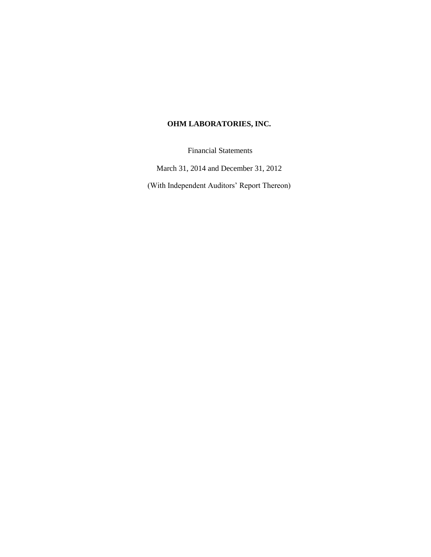## **OHM LABORATORIES, INC.**

Financial Statements

March 31, 2014 and December 31, 2012

(With Independent Auditors" Report Thereon)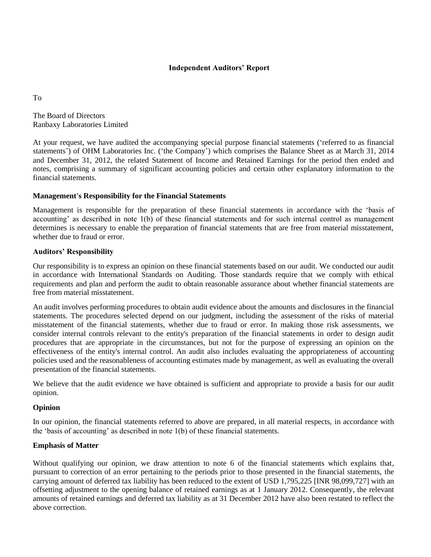### **Independent Auditors' Report**

To

The Board of Directors Ranbaxy Laboratories Limited

At your request, we have audited the accompanying special purpose financial statements ("referred to as financial statements') of OHM Laboratories Inc. ('the Company') which comprises the Balance Sheet as at March 31, 2014 and December 31, 2012, the related Statement of Income and Retained Earnings for the period then ended and notes, comprising a summary of significant accounting policies and certain other explanatory information to the financial statements.

## **Management's Responsibility for the Financial Statements**

Management is responsible for the preparation of these financial statements in accordance with the "basis of accounting" as described in note 1(b) of these financial statements and for such internal control as management determines is necessary to enable the preparation of financial statements that are free from material misstatement, whether due to fraud or error.

## **Auditors' Responsibility**

Our responsibility is to express an opinion on these financial statements based on our audit. We conducted our audit in accordance with International Standards on Auditing. Those standards require that we comply with ethical requirements and plan and perform the audit to obtain reasonable assurance about whether financial statements are free from material misstatement.

An audit involves performing procedures to obtain audit evidence about the amounts and disclosures in the financial statements. The procedures selected depend on our judgment, including the assessment of the risks of material misstatement of the financial statements, whether due to fraud or error. In making those risk assessments, we consider internal controls relevant to the entity's preparation of the financial statements in order to design audit procedures that are appropriate in the circumstances, but not for the purpose of expressing an opinion on the effectiveness of the entity's internal control. An audit also includes evaluating the appropriateness of accounting policies used and the reasonableness of accounting estimates made by management, as well as evaluating the overall presentation of the financial statements.

We believe that the audit evidence we have obtained is sufficient and appropriate to provide a basis for our audit opinion.

#### **Opinion**

In our opinion, the financial statements referred to above are prepared, in all material respects, in accordance with the "basis of accounting" as described in note 1(b) of these financial statements.

## **Emphasis of Matter**

Without qualifying our opinion, we draw attention to note 6 of the financial statements which explains that, pursuant to correction of an error pertaining to the periods prior to those presented in the financial statements, the carrying amount of deferred tax liability has been reduced to the extent of USD 1,795,225 [INR 98,099,727] with an offsetting adjustment to the opening balance of retained earnings as at 1 January 2012. Consequently, the relevant amounts of retained earnings and deferred tax liability as at 31 December 2012 have also been restated to reflect the above correction.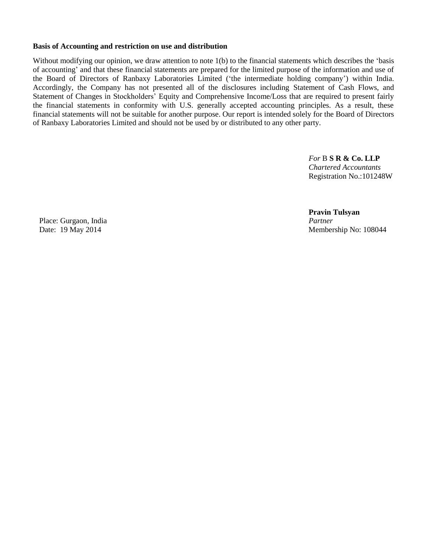#### **Basis of Accounting and restriction on use and distribution**

Without modifying our opinion, we draw attention to note 1(b) to the financial statements which describes the 'basis of accounting" and that these financial statements are prepared for the limited purpose of the information and use of the Board of Directors of Ranbaxy Laboratories Limited ("the intermediate holding company") within India. Accordingly, the Company has not presented all of the disclosures including Statement of Cash Flows, and Statement of Changes in Stockholders' Equity and Comprehensive Income/Loss that are required to present fairly the financial statements in conformity with U.S. generally accepted accounting principles. As a result, these financial statements will not be suitable for another purpose. Our report is intended solely for the Board of Directors of Ranbaxy Laboratories Limited and should not be used by or distributed to any other party.

> *For* B **S R & Co. LLP** *Chartered Accountants* Registration No.:101248W

Place: Gurgaon, India *Partner*

 **Pravin Tulsyan** Date: 19 May 2014 Membership No: 108044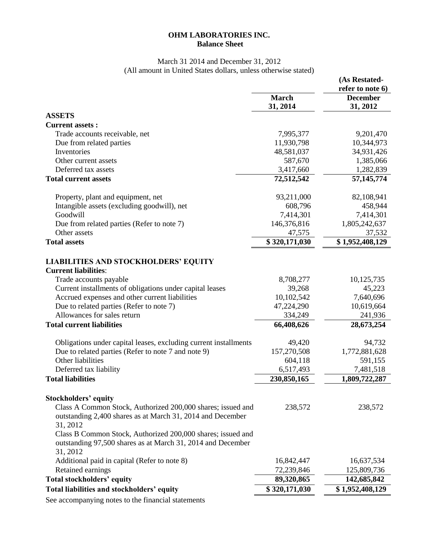## **OHM LABORATORIES INC. Balance Sheet**

## March 31 2014 and December 31, 2012 (All amount in United States dollars, unless otherwise stated)

|                                                                  |               | (As Restated-                       |
|------------------------------------------------------------------|---------------|-------------------------------------|
|                                                                  | <b>March</b>  | refer to note 6)<br><b>December</b> |
|                                                                  | 31, 2014      | 31, 2012                            |
| <b>ASSETS</b>                                                    |               |                                     |
| <b>Current assets:</b>                                           |               |                                     |
| Trade accounts receivable, net                                   | 7,995,377     | 9,201,470                           |
| Due from related parties                                         | 11,930,798    | 10,344,973                          |
| Inventories                                                      | 48,581,037    | 34,931,426                          |
| Other current assets                                             | 587,670       | 1,385,066                           |
| Deferred tax assets                                              | 3,417,660     | 1,282,839                           |
| <b>Total current assets</b>                                      | 72,512,542    | 57, 145, 774                        |
|                                                                  |               |                                     |
| Property, plant and equipment, net                               | 93,211,000    | 82,108,941                          |
| Intangible assets (excluding goodwill), net                      | 608,796       | 458,944                             |
| Goodwill                                                         | 7,414,301     | 7,414,301                           |
| Due from related parties (Refer to note 7)                       | 146,376,816   | 1,805,242,637                       |
| Other assets                                                     | 47,575        | 37,532                              |
| <b>Total assets</b>                                              | \$320,171,030 | \$1,952,408,129                     |
|                                                                  |               |                                     |
| <b>LIABILITIES AND STOCKHOLDERS' EQUITY</b>                      |               |                                     |
| <b>Current liabilities:</b>                                      |               |                                     |
| Trade accounts payable                                           | 8,708,277     | 10,125,735                          |
| Current installments of obligations under capital leases         | 39,268        | 45,223                              |
| Accrued expenses and other current liabilities                   | 10,102,542    | 7,640,696                           |
| Due to related parties (Refer to note 7)                         | 47,224,290    | 10,619,664                          |
| Allowances for sales return                                      | 334,249       | 241,936                             |
| <b>Total current liabilities</b>                                 | 66,408,626    | 28,673,254                          |
|                                                                  |               |                                     |
| Obligations under capital leases, excluding current installments | 49,420        | 94,732                              |
| Due to related parties (Refer to note 7 and note 9)              | 157,270,508   | 1,772,881,628                       |
| Other liabilities                                                | 604,118       | 591,155                             |
| Deferred tax liability                                           | 6,517,493     | 7,481,518                           |
| <b>Total liabilities</b>                                         | 230,850,165   | 1,809,722,287                       |
|                                                                  |               |                                     |
| <b>Stockholders' equity</b>                                      |               |                                     |
| Class A Common Stock, Authorized 200,000 shares; issued and      | 238,572       | 238,572                             |
| outstanding 2,400 shares as at March 31, 2014 and December       |               |                                     |
| 31, 2012                                                         |               |                                     |
| Class B Common Stock, Authorized 200,000 shares; issued and      |               |                                     |
| outstanding 97,500 shares as at March 31, 2014 and December      |               |                                     |
| 31, 2012                                                         |               |                                     |
| Additional paid in capital (Refer to note 8)                     |               | 16,637,534                          |
| Retained earnings                                                | 16,842,447    |                                     |
|                                                                  | 72,239,846    | 125,809,736                         |
| Total stockholders' equity                                       | 89,320,865    | 142,685,842                         |
| Total liabilities and stockholders' equity                       | \$320,171,030 | \$1,952,408,129                     |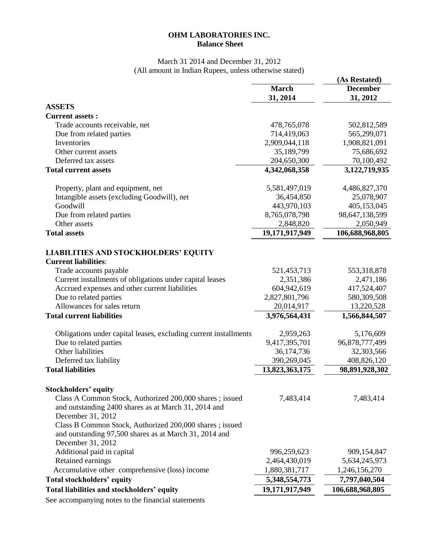## **OHM LABORATORIES INC. Balance Sheet**

#### March 31 2014 and December 31, 2012 (All amount in Indian Rupees, unless otherwise stated)

|                                                                  |                | (As Restated)   |
|------------------------------------------------------------------|----------------|-----------------|
|                                                                  | <b>March</b>   | <b>December</b> |
|                                                                  | 31, 2014       | 31, 2012        |
| <b>ASSETS</b>                                                    |                |                 |
| <b>Current assets:</b>                                           |                |                 |
| Trade accounts receivable, net                                   | 478,765,078    | 502,812,589     |
| Due from related parties                                         | 714,419,063    | 565,299,071     |
| Inventories                                                      | 2,909,044,118  | 1,908,821,091   |
| Other current assets                                             | 35,189,799     | 75,686,692      |
| Deferred tax assets                                              | 204,650,300    | 70,100,492      |
| <b>Total current assets</b>                                      | 4,342,068,358  | 3,122,719,935   |
| Property, plant and equipment, net                               | 5,581,497,019  | 4,486,827,370   |
| Intangible assets (excluding Goodwill), net                      | 36,454,850     | 25,078,907      |
| Goodwill                                                         | 443,970,103    | 405,153,045     |
| Due from related parties                                         | 8,765,078,798  | 98,647,138,599  |
| Other assets                                                     | 2,848,820      | 2,050,949       |
| <b>Total assets</b>                                              | 19,171,917,949 | 106,688,968,805 |
| <b>LIABILITIES AND STOCKHOLDERS' EQUITY</b>                      |                |                 |
| <b>Current liabilities:</b>                                      |                |                 |
| Trade accounts payable                                           | 521,453,713    | 553,318,878     |
| Current installments of obligations under capital leases         | 2,351,386      | 2,471,186       |
| Accrued expenses and other current liabilities                   | 604,942,619    | 417,524,407     |
| Due to related parties                                           | 2,827,801,796  | 580,309,508     |
| Allowances for sales return                                      | 20,014,917     | 13,220,528      |
| <b>Total current liabilities</b>                                 | 3,976,564,431  | 1,566,844,507   |
| Obligations under capital leases, excluding current installments | 2,959,263      | 5,176,609       |
| Due to related parties                                           | 9,417,395,701  | 96,878,777,499  |
| Other liabilities                                                | 36,174,736     | 32,303,566      |
| Deferred tax liability                                           | 390,269,045    | 408,826,120     |
| <b>Total liabilities</b>                                         | 13,823,363,175 | 98,891,928,302  |
| <b>Stockholders' equity</b>                                      |                |                 |
| Class A Common Stock, Authorized 200,000 shares; issued          | 7,483,414      | 7,483,414       |
| and outstanding 2400 shares as at March 31, 2014 and             |                |                 |
| December 31, 2012                                                |                |                 |
| Class B Common Stock, Authorized 200,000 shares; issued          |                |                 |
| and outstanding 97,500 shares as at March 31, 2014 and           |                |                 |
| December 31, 2012                                                |                |                 |
| Additional paid in capital                                       | 996,259,623    | 909,154,847     |
| Retained earnings                                                | 2,464,430,019  | 5,634,245,973   |
| Accumulative other comprehensive (loss) income                   | 1,880,381,717  | 1,246,156,270   |
| Total stockholders' equity                                       | 5,348,554,773  | 7,797,040,504   |
| Total liabilities and stockholders' equity                       | 19,171,917,949 | 106,688,968,805 |
|                                                                  |                |                 |
| See accompanying notes to the financial statements               |                |                 |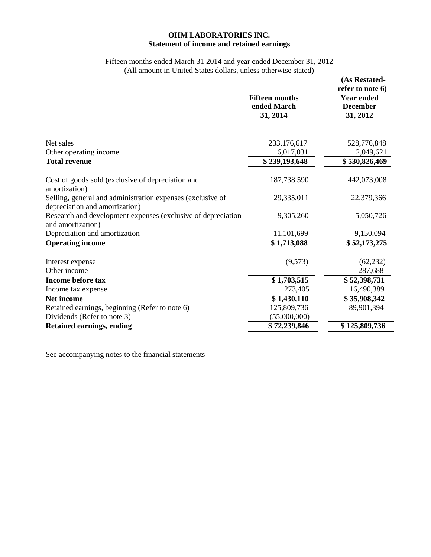## **OHM LABORATORIES INC. Statement of income and retained earnings**

#### Fifteen months ended March 31 2014 and year ended December 31, 2012 (All amount in United States dollars, unless otherwise stated)

|                                                                                              |                                                  | (As Restated-                                                        |
|----------------------------------------------------------------------------------------------|--------------------------------------------------|----------------------------------------------------------------------|
|                                                                                              | <b>Fifteen months</b><br>ended March<br>31, 2014 | refer to note 6)<br><b>Year ended</b><br><b>December</b><br>31, 2012 |
|                                                                                              |                                                  |                                                                      |
| Net sales                                                                                    | 233,176,617                                      | 528,776,848                                                          |
| Other operating income                                                                       | 6,017,031                                        | 2,049,621                                                            |
| <b>Total revenue</b>                                                                         | \$239,193,648                                    | \$530,826,469                                                        |
| Cost of goods sold (exclusive of depreciation and<br>amortization)                           | 187,738,590                                      | 442,073,008                                                          |
| Selling, general and administration expenses (exclusive of<br>depreciation and amortization) | 29,335,011                                       | 22,379,366                                                           |
| Research and development expenses (exclusive of depreciation<br>and amortization)            | 9,305,260                                        | 5,050,726                                                            |
| Depreciation and amortization                                                                | 11,101,699                                       | 9,150,094                                                            |
| <b>Operating income</b>                                                                      | \$1,713,088                                      | \$52,173,275                                                         |
| Interest expense                                                                             | (9,573)                                          | (62, 232)                                                            |
| Other income                                                                                 |                                                  | 287,688                                                              |
| Income before tax                                                                            | \$1,703,515                                      | \$52,398,731                                                         |
| Income tax expense                                                                           | 273,405                                          | 16,490,389                                                           |
| <b>Net income</b>                                                                            | \$1,430,110                                      | \$35,908,342                                                         |
| Retained earnings, beginning (Refer to note 6)                                               | 125,809,736                                      | 89,901,394                                                           |
| Dividends (Refer to note 3)                                                                  | (55,000,000)                                     |                                                                      |
| <b>Retained earnings, ending</b>                                                             | \$72,239,846                                     | \$125,809,736                                                        |

See accompanying notes to the financial statements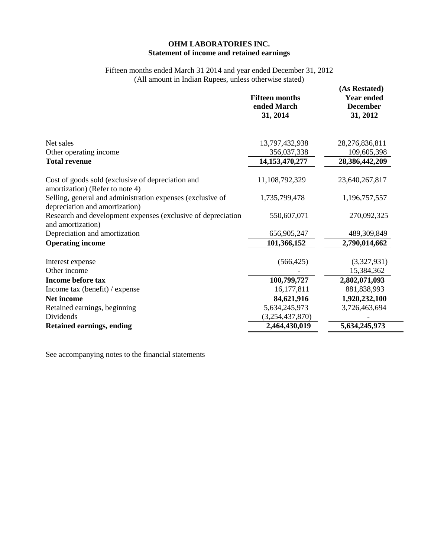## **OHM LABORATORIES INC. Statement of income and retained earnings**

## Fifteen months ended March 31 2014 and year ended December 31, 2012 (All amount in Indian Rupees, unless otherwise stated)

|                                                                                              |                       | (As Restated)     |
|----------------------------------------------------------------------------------------------|-----------------------|-------------------|
|                                                                                              | <b>Fifteen months</b> | <b>Year ended</b> |
|                                                                                              | ended March           | <b>December</b>   |
|                                                                                              | 31, 2014              | 31, 2012          |
|                                                                                              |                       |                   |
| Net sales                                                                                    | 13,797,432,938        | 28,276,836,811    |
| Other operating income                                                                       | 356,037,338           | 109,605,398       |
| <b>Total revenue</b>                                                                         | 14,153,470,277        | 28,386,442,209    |
| Cost of goods sold (exclusive of depreciation and<br>amortization) (Refer to note 4)         | 11,108,792,329        | 23,640,267,817    |
| Selling, general and administration expenses (exclusive of<br>depreciation and amortization) | 1,735,799,478         | 1,196,757,557     |
| Research and development expenses (exclusive of depreciation<br>and amortization)            | 550,607,071           | 270,092,325       |
| Depreciation and amortization                                                                | 656,905,247           | 489,309,849       |
| <b>Operating income</b>                                                                      | 101,366,152           | 2,790,014,662     |
| Interest expense                                                                             | (566, 425)            | (3,327,931)       |
| Other income                                                                                 |                       | 15,384,362        |
| <b>Income before tax</b>                                                                     | 100,799,727           | 2,802,071,093     |
| Income tax (benefit) / expense                                                               | 16,177,811            | 881,838,993       |
| <b>Net income</b>                                                                            | 84,621,916            | 1,920,232,100     |
| Retained earnings, beginning                                                                 | 5,634,245,973         | 3,726,463,694     |
| Dividends                                                                                    | (3,254,437,870)       |                   |
| <b>Retained earnings, ending</b>                                                             | 2,464,430,019         | 5,634,245,973     |
|                                                                                              |                       |                   |

See accompanying notes to the financial statements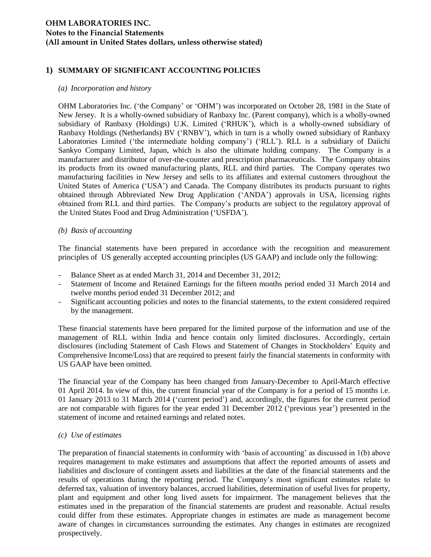## **1) SUMMARY OF SIGNIFICANT ACCOUNTING POLICIES**

#### *(a) Incorporation and history*

OHM Laboratories Inc. ("the Company" or "OHM") was incorporated on October 28, 1981 in the State of New Jersey. It is a wholly-owned subsidiary of Ranbaxy Inc. (Parent company), which is a wholly-owned subsidiary of Ranbaxy (Holdings) U.K. Limited ("RHUK"), which is a wholly-owned subsidiary of Ranbaxy Holdings (Netherlands) BV ("RNBV"), which in turn is a wholly owned subsidiary of Ranbaxy Laboratories Limited ('the intermediate holding company') ('RLL'). RLL is a subsidiary of Daiichi Sankyo Company Limited, Japan, which is also the ultimate holding company. The Company is a manufacturer and distributor of over-the-counter and prescription pharmaceuticals. The Company obtains its products from its owned manufacturing plants, RLL and third parties. The Company operates two manufacturing facilities in New Jersey and sells to its affiliates and external customers throughout the United States of America ('USA') and Canada. The Company distributes its products pursuant to rights obtained through Abbreviated New Drug Application ("ANDA") approvals in USA, licensing rights obtained from RLL and third parties. The Company"s products are subject to the regulatory approval of the United States Food and Drug Administration ("USFDA").

#### *(b) Basis of accounting*

The financial statements have been prepared in accordance with the recognition and measurement principles of US generally accepted accounting principles (US GAAP) and include only the following:

- Balance Sheet as at ended March 31, 2014 and December 31, 2012;
- Statement of Income and Retained Earnings for the fifteen months period ended 31 March 2014 and twelve months period ended 31 December 2012; and
- Significant accounting policies and notes to the financial statements, to the extent considered required by the management.

These financial statements have been prepared for the limited purpose of the information and use of the management of RLL within India and hence contain only limited disclosures. Accordingly, certain disclosures (including Statement of Cash Flows and Statement of Changes in Stockholders" Equity and Comprehensive Income/Loss) that are required to present fairly the financial statements in conformity with US GAAP have been omitted.

The financial year of the Company has been changed from January-December to April-March effective 01 April 2014. In view of this, the current financial year of the Company is for a period of 15 months i.e. 01 January 2013 to 31 March 2014 ("current period") and, accordingly, the figures for the current period are not comparable with figures for the year ended 31 December 2012 ("previous year") presented in the statement of income and retained earnings and related notes.

#### *(c) Use of estimates*

The preparation of financial statements in conformity with "basis of accounting" as discussed in 1(b) above requires management to make estimates and assumptions that affect the reported amounts of assets and liabilities and disclosure of contingent assets and liabilities at the date of the financial statements and the results of operations during the reporting period. The Company"s most significant estimates relate to deferred tax, valuation of inventory balances, accrued liabilities, determination of useful lives for property, plant and equipment and other long lived assets for impairment. The management believes that the estimates used in the preparation of the financial statements are prudent and reasonable. Actual results could differ from these estimates. Appropriate changes in estimates are made as management become aware of changes in circumstances surrounding the estimates. Any changes in estimates are recognized prospectively.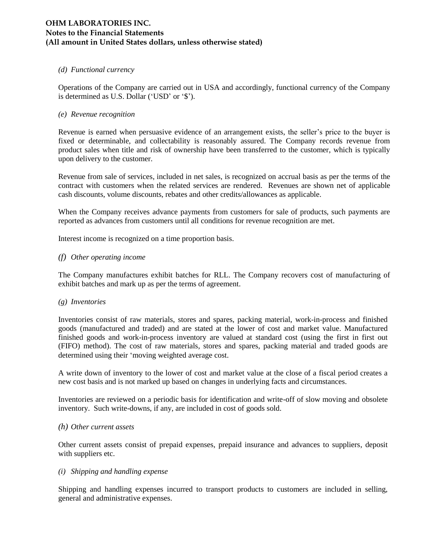#### *(d) Functional currency*

Operations of the Company are carried out in USA and accordingly, functional currency of the Company is determined as U.S. Dollar ('USD' or '\$').

#### *(e) Revenue recognition*

Revenue is earned when persuasive evidence of an arrangement exists, the seller"s price to the buyer is fixed or determinable, and collectability is reasonably assured. The Company records revenue from product sales when title and risk of ownership have been transferred to the customer, which is typically upon delivery to the customer.

Revenue from sale of services, included in net sales, is recognized on accrual basis as per the terms of the contract with customers when the related services are rendered. Revenues are shown net of applicable cash discounts, volume discounts, rebates and other credits/allowances as applicable.

When the Company receives advance payments from customers for sale of products, such payments are reported as advances from customers until all conditions for revenue recognition are met.

Interest income is recognized on a time proportion basis.

#### *(f) Other operating income*

The Company manufactures exhibit batches for RLL. The Company recovers cost of manufacturing of exhibit batches and mark up as per the terms of agreement.

#### *(g) Inventories*

Inventories consist of raw materials, stores and spares, packing material, work-in-process and finished goods (manufactured and traded) and are stated at the lower of cost and market value. Manufactured finished goods and work-in-process inventory are valued at standard cost (using the first in first out (FIFO) method). The cost of raw materials, stores and spares, packing material and traded goods are determined using their "moving weighted average cost.

A write down of inventory to the lower of cost and market value at the close of a fiscal period creates a new cost basis and is not marked up based on changes in underlying facts and circumstances.

Inventories are reviewed on a periodic basis for identification and write-off of slow moving and obsolete inventory. Such write-downs, if any, are included in cost of goods sold.

#### *(h) Other current assets*

Other current assets consist of prepaid expenses, prepaid insurance and advances to suppliers, deposit with suppliers etc.

#### *(i) Shipping and handling expense*

Shipping and handling expenses incurred to transport products to customers are included in selling, general and administrative expenses.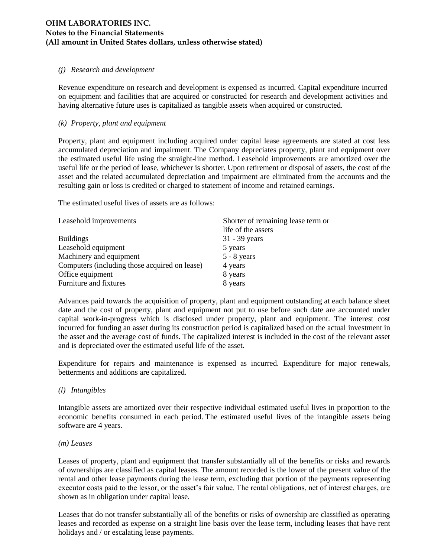#### *(j) Research and development*

Revenue expenditure on research and development is expensed as incurred. Capital expenditure incurred on equipment and facilities that are acquired or constructed for research and development activities and having alternative future uses is capitalized as tangible assets when acquired or constructed.

### *(k) Property, plant and equipment*

Property, plant and equipment including acquired under capital lease agreements are stated at cost less accumulated depreciation and impairment. The Company depreciates property, plant and equipment over the estimated useful life using the straight-line method. Leasehold improvements are amortized over the useful life or the period of lease, whichever is shorter. Upon retirement or disposal of assets, the cost of the asset and the related accumulated depreciation and impairment are eliminated from the accounts and the resulting gain or loss is credited or charged to statement of income and retained earnings.

The estimated useful lives of assets are as follows:

| Leasehold improvements                        | Shorter of remaining lease term or |
|-----------------------------------------------|------------------------------------|
|                                               | life of the assets                 |
| <b>Buildings</b>                              | 31 - 39 years                      |
| Leasehold equipment                           | 5 years                            |
| Machinery and equipment                       | $5 - 8$ years                      |
| Computers (including those acquired on lease) | 4 years                            |
| Office equipment                              | 8 years                            |
| Furniture and fixtures                        | 8 years                            |

Advances paid towards the acquisition of property, plant and equipment outstanding at each balance sheet date and the cost of property, plant and equipment not put to use before such date are accounted under capital work-in-progress which is disclosed under property, plant and equipment. The interest cost incurred for funding an asset during its construction period is capitalized based on the actual investment in the asset and the average cost of funds. The capitalized interest is included in the cost of the relevant asset and is depreciated over the estimated useful life of the asset.

Expenditure for repairs and maintenance is expensed as incurred. Expenditure for major renewals, betterments and additions are capitalized.

#### *(l) Intangibles*

Intangible assets are amortized over their respective individual estimated useful lives in proportion to the economic benefits consumed in each period. The estimated useful lives of the intangible assets being software are 4 years.

#### *(m) Leases*

Leases of property, plant and equipment that transfer substantially all of the benefits or risks and rewards of ownerships are classified as capital leases. The amount recorded is the lower of the present value of the rental and other lease payments during the lease term, excluding that portion of the payments representing executor costs paid to the lessor, or the asset"s fair value. The rental obligations, net of interest charges, are shown as in obligation under capital lease.

Leases that do not transfer substantially all of the benefits or risks of ownership are classified as operating leases and recorded as expense on a straight line basis over the lease term, including leases that have rent holidays and / or escalating lease payments.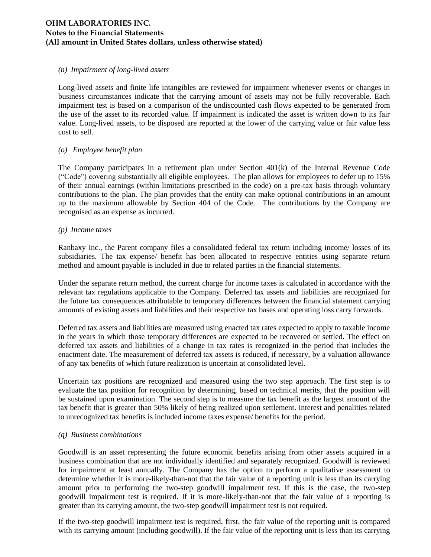#### *(n) Impairment of long-lived assets*

Long-lived assets and finite life intangibles are reviewed for impairment whenever events or changes in business circumstances indicate that the carrying amount of assets may not be fully recoverable. Each impairment test is based on a comparison of the undiscounted cash flows expected to be generated from the use of the asset to its recorded value. If impairment is indicated the asset is written down to its fair value. Long-lived assets, to be disposed are reported at the lower of the carrying value or fair value less cost to sell.

#### *(o) Employee benefit plan*

The Company participates in a retirement plan under Section 401(k) of the Internal Revenue Code ("Code") covering substantially all eligible employees. The plan allows for employees to defer up to 15% of their annual earnings (within limitations prescribed in the code) on a pre-tax basis through voluntary contributions to the plan. The plan provides that the entity can make optional contributions in an amount up to the maximum allowable by Section 404 of the Code. The contributions by the Company are recognised as an expense as incurred.

#### *(p) Income taxes*

Ranbaxy Inc., the Parent company files a consolidated federal tax return including income/ losses of its subsidiaries. The tax expense/ benefit has been allocated to respective entities using separate return method and amount payable is included in due to related parties in the financial statements.

Under the separate return method, the current charge for income taxes is calculated in accordance with the relevant tax regulations applicable to the Company. Deferred tax assets and liabilities are recognized for the future tax consequences attributable to temporary differences between the financial statement carrying amounts of existing assets and liabilities and their respective tax bases and operating loss carry forwards.

Deferred tax assets and liabilities are measured using enacted tax rates expected to apply to taxable income in the years in which those temporary differences are expected to be recovered or settled. The effect on deferred tax assets and liabilities of a change in tax rates is recognized in the period that includes the enactment date. The measurement of deferred tax assets is reduced, if necessary, by a valuation allowance of any tax benefits of which future realization is uncertain at consolidated level.

Uncertain tax positions are recognized and measured using the two step approach. The first step is to evaluate the tax position for recognition by determining, based on technical merits, that the position will be sustained upon examination. The second step is to measure the tax benefit as the largest amount of the tax benefit that is greater than 50% likely of being realized upon settlement. Interest and penalities related to unrecognized tax benefits is included income taxes expense/ benefits for the period.

#### *(q) Business combinations*

Goodwill is an asset representing the future economic benefits arising from other assets acquired in a business combination that are not individually identified and separately recognized. Goodwill is reviewed for impairment at least annually. The Company has the option to perform a qualitative assessment to determine whether it is more-likely-than-not that the fair value of a reporting unit is less than its carrying amount prior to performing the two-step goodwill impairment test. If this is the case, the two-step goodwill impairment test is required. If it is more-likely-than-not that the fair value of a reporting is greater than its carrying amount, the two-step goodwill impairment test is not required.

If the two-step goodwill impairment test is required, first, the fair value of the reporting unit is compared with its carrying amount (including goodwill). If the fair value of the reporting unit is less than its carrying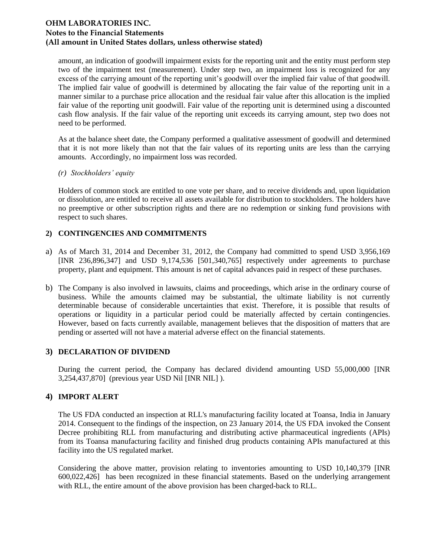amount, an indication of goodwill impairment exists for the reporting unit and the entity must perform step two of the impairment test (measurement). Under step two, an impairment loss is recognized for any excess of the carrying amount of the reporting unit"s goodwill over the implied fair value of that goodwill. The implied fair value of goodwill is determined by allocating the fair value of the reporting unit in a manner similar to a purchase price allocation and the residual fair value after this allocation is the implied fair value of the reporting unit goodwill. Fair value of the reporting unit is determined using a discounted cash flow analysis. If the fair value of the reporting unit exceeds its carrying amount, step two does not need to be performed.

As at the balance sheet date, the Company performed a qualitative assessment of goodwill and determined that it is not more likely than not that the fair values of its reporting units are less than the carrying amounts. Accordingly, no impairment loss was recorded.

#### *(r) Stockholders' equity*

Holders of common stock are entitled to one vote per share, and to receive dividends and, upon liquidation or dissolution, are entitled to receive all assets available for distribution to stockholders. The holders have no preemptive or other subscription rights and there are no redemption or sinking fund provisions with respect to such shares.

## **2) CONTINGENCIES AND COMMITMENTS**

- a) As of March 31, 2014 and December 31, 2012, the Company had committed to spend USD 3,956,169 [INR 236,896,347] and USD 9,174,536 [501,340,765] respectively under agreements to purchase property, plant and equipment. This amount is net of capital advances paid in respect of these purchases.
- b) The Company is also involved in lawsuits, claims and proceedings, which arise in the ordinary course of business. While the amounts claimed may be substantial, the ultimate liability is not currently determinable because of considerable uncertainties that exist. Therefore, it is possible that results of operations or liquidity in a particular period could be materially affected by certain contingencies. However, based on facts currently available, management believes that the disposition of matters that are pending or asserted will not have a material adverse effect on the financial statements.

## **3) DECLARATION OF DIVIDEND**

During the current period, the Company has declared dividend amounting USD 55,000,000 [INR 3,254,437,870] (previous year USD Nil [INR NIL] ).

## **4) IMPORT ALERT**

The US FDA conducted an inspection at RLL's manufacturing facility located at Toansa, India in January 2014. Consequent to the findings of the inspection, on 23 January 2014, the US FDA invoked the Consent Decree prohibiting RLL from manufacturing and distributing active pharmaceutical ingredients (APIs) from its Toansa manufacturing facility and finished drug products containing APIs manufactured at this facility into the US regulated market.

Considering the above matter, provision relating to inventories amounting to USD 10,140,379 [INR 600,022,426] has been recognized in these financial statements. Based on the underlying arrangement with RLL, the entire amount of the above provision has been charged-back to RLL.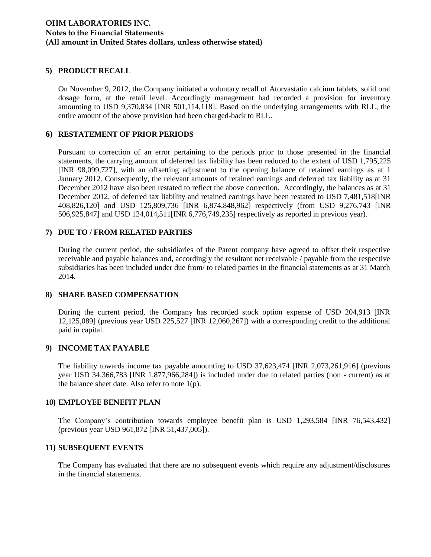#### **5) PRODUCT RECALL**

On November 9, 2012, the Company initiated a voluntary recall of Atorvastatin calcium tablets, solid oral dosage form, at the retail level. Accordingly management had recorded a provision for inventory amounting to USD 9,370,834 [INR 501,114,118]. Based on the underlying arrangements with RLL, the entire amount of the above provision had been charged-back to RLL.

#### **6) RESTATEMENT OF PRIOR PERIODS**

Pursuant to correction of an error pertaining to the periods prior to those presented in the financial statements, the carrying amount of deferred tax liability has been reduced to the extent of USD 1,795,225 [INR 98,099,727], with an offsetting adjustment to the opening balance of retained earnings as at 1 January 2012. Consequently, the relevant amounts of retained earnings and deferred tax liability as at 31 December 2012 have also been restated to reflect the above correction. Accordingly, the balances as at 31 December 2012, of deferred tax liability and retained earnings have been restated to USD 7,481,518[INR 408,826,120] and USD 125,809,736 [INR 6,874,848,962] respectively (from USD 9,276,743 [INR 506,925,847] and USD 124,014,511[INR 6,776,749,235] respectively as reported in previous year).

## **7) DUE TO / FROM RELATED PARTIES**

During the current period, the subsidiaries of the Parent company have agreed to offset their respective receivable and payable balances and, accordingly the resultant net receivable / payable from the respective subsidiaries has been included under due from/ to related parties in the financial statements as at 31 March 2014.

#### **8) SHARE BASED COMPENSATION**

During the current period, the Company has recorded stock option expense of USD 204,913 [INR 12,125,089] (previous year USD 225,527 [INR 12,060,267]) with a corresponding credit to the additional paid in capital.

## **9) INCOME TAX PAYABLE**

The liability towards income tax payable amounting to USD 37,623,474 [INR 2,073,261,916] (previous year USD 34,366,783 [INR 1,877,966,284]) is included under due to related parties (non - current) as at the balance sheet date. Also refer to note  $1(p)$ .

#### **10) EMPLOYEE BENEFIT PLAN**

The Company"s contribution towards employee benefit plan is USD 1,293,584 [INR 76,543,432] (previous year USD 961,872 [INR 51,437,005]).

#### **11) SUBSEQUENT EVENTS**

The Company has evaluated that there are no subsequent events which require any adjustment/disclosures in the financial statements.